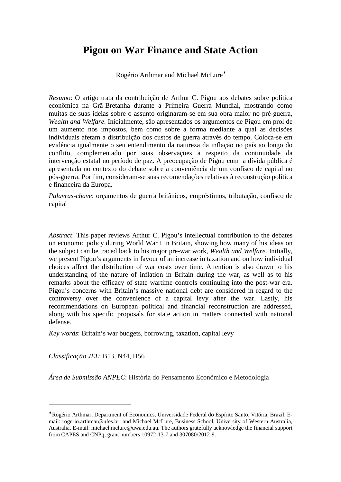# **Pigou on War Finance and State Action**

Rogério Arthmar and Michael McLure<sup>∗</sup>

*Resumo*: O artigo trata da contribuição de Arthur C. Pigou aos debates sobre política econômica na Grã-Bretanha durante a Primeira Guerra Mundial, mostrando como muitas de suas ideias sobre o assunto originaram-se em sua obra maior no pré-guerra, *Wealth and Welfare*. Inicialmente, são apresentados os argumentos de Pigou em prol de um aumento nos impostos, bem como sobre a forma mediante a qual as decisões individuais afetam a distribuição dos custos de guerra através do tempo. Coloca-se em evidência igualmente o seu entendimento da natureza da inflação no país ao longo do conflito, complementado por suas observações a respeito da continuidade da intervenção estatal no período de paz. A preocupação de Pigou com a dívida pública é apresentada no contexto do debate sobre a conveniência de um confisco de capital no pós-guerra. Por fim, consideram-se suas recomendações relativas à reconstrução política e financeira da Europa.

*Palavras-chave*: orçamentos de guerra britânicos, empréstimos, tributação, confisco de capital

*Abstract*: This paper reviews Arthur C. Pigou's intellectual contribution to the debates on economic policy during World War I in Britain, showing how many of his ideas on the subject can be traced back to his major pre-war work, *Wealth and Welfare*. Initially, we present Pigou's arguments in favour of an increase in taxation and on how individual choices affect the distribution of war costs over time. Attention is also drawn to his understanding of the nature of inflation in Britain during the war, as well as to his remarks about the efficacy of state wartime controls continuing into the post-war era. Pigou's concerns with Britain's massive national debt are considered in regard to the controversy over the convenience of a capital levy after the war. Lastly, his recommendations on European political and financial reconstruction are addressed, along with his specific proposals for state action in matters connected with national defense.

*Key words*: Britain's war budgets, borrowing, taxation, capital levy

*Classificação JEL*: B13, N44, H56

 $\overline{a}$ 

*Área de Submissão ANPEC*: História do Pensamento Econômico e Metodologia

<sup>∗</sup> Rogério Arthmar, Department of Economics, Universidade Federal do Espírito Santo, Vitória, Brazil. Email: rogerio.arthmar@ufes.br; and Michael McLure, Business School, University of Western Australia, Australia. E-mail: michael.mclure@uwa.edu.au. The authors gratefully acknowledge the financial support from CAPES and CNPq, grant numbers 10972-13-7 and 307080/2012-9.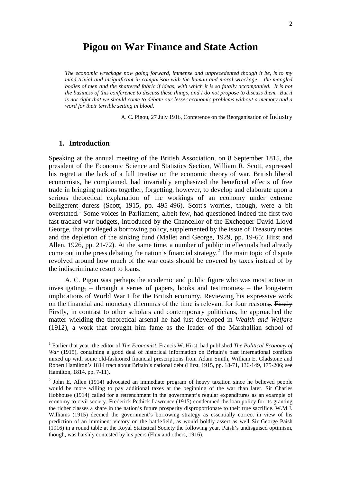## **Pigou on War Finance and State Action**

*The economic wreckage now going forward, immense and unprecedented though it be, is to my mind trivial and insignificant in comparison with the human and moral wreckage – the mangled*  bodies of men and the shattered fabric if ideas, with which it is so fatally accompanied. It is not *the business of this conference to discuss these things, and I do not propose to discuss them. But it is not right that we should come to debate our lesser economic problems without a memory and a word for their terrible setting in blood.*

A. C. Pigou, 27 July 1916, Conference on the Reorganisation of Industry

#### **1. Introduction**

l

Speaking at the annual meeting of the British Association, on 8 September 1815, the president of the Economic Science and Statistics Section, William R. Scott, expressed his regret at the lack of a full treatise on the economic theory of war. British liberal economists, he complained, had invariably emphasized the beneficial effects of free trade in bringing nations together, forgetting, however, to develop and elaborate upon a serious theoretical explanation of the workings of an economy under extreme belligerent duress (Scott, 1915, pp. 495-496). Scott's worries, though, were a bit overstated.<sup>1</sup> Some voices in Parliament, albeit few, had questioned indeed the first two fast-tracked war budgets, introduced by the Chancellor of the Exchequer David Lloyd George, that privileged a borrowing policy, supplemented by the issue of Treasury notes and the depletion of the sinking fund (Mallet and George, 1929, pp. 19-65; Hirst and Allen, 1926, pp. 21-72). At the same time, a number of public intellectuals had already come out in the press debating the nation's financial strategy.<sup>2</sup> The main topic of dispute revolved around how much of the war costs should be covered by taxes instead of by the indiscriminate resort to loans.

A. C. Pigou was perhaps the academic and public figure who was most active in investigating,  $-$  through a series of papers, books and testimonies,  $-$  the long-term implications of World War I for the British economy. Reviewing his expressive work on the financial and monetary dilemmas of the time is relevant for four reasons,. Firstly Firstly, in contrast to other scholars and contemporary politicians, he approached the matter wielding the theoretical arsenal he had just developed in *Wealth and Welfare* (1912), a work that brought him fame as the leader of the Marshallian school of

<sup>&</sup>lt;sup>1</sup> Earlier that year, the editor of *The Economist*, Francis W. Hirst, had published *The Political Economy of War* (1915), containing a good deal of historical information on Britain's past international conflicts mixed up with some old-fashioned financial prescriptions from Adam Smith, William E. Gladstone and Robert Hamilton's 1814 tract about Britain's national debt (Hirst, 1915, pp. 18-71, 136-149, 175-206; see Hamilton, 1814, pp. 7-11).

 $2$  John E. Allen (1914) advocated an immediate program of heavy taxation since he believed people would be more willing to pay additional taxes at the beginning of the war than later. Sir Charles Hobhouse (1914) called for a retrenchment in the government's regular expenditures as an example of economy to civil society. Frederick Pethick-Lawrence (1915) condemned the loan policy for its granting the richer classes a share in the nation's future prosperity disproportionate to their true sacrifice. W.M.J. Williams (1915) deemed the government's borrowing strategy as essentially correct in view of his prediction of an imminent victory on the battlefield, as would boldly assert as well Sir George Paish (1916) in a round table at the Royal Statistical Society the following year. Paish's undisguised optimism, though, was harshly contested by his peers (Flux and others, 1916).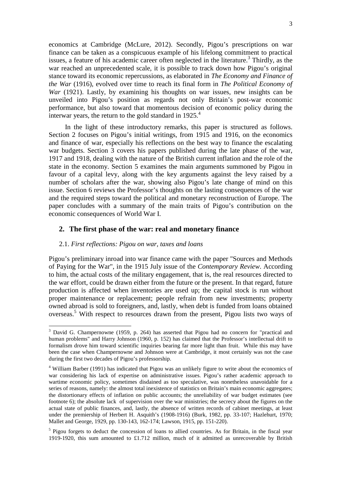economics at Cambridge (McLure, 2012). Secondly, Pigou's prescriptions on war finance can be taken as a conspicuous example of his lifelong commitment to practical issues, a feature of his academic career often neglected in the literature.<sup>3</sup> Thirdly, as the war reached an unprecedented scale, it is possible to track down how Pigou's original stance toward its economic repercussions, as elaborated in *The Economy and Finance of the War* (1916), evolved over time to reach its final form in *The Political Economy of War* (1921). Lastly, by examining his thoughts on war issues, new insights can be unveiled into Pigou's position as regards not only Britain's post-war economic performance, but also toward that momentous decision of economic policy during the interwar years, the return to the gold standard in  $1925<sup>4</sup>$ .

In the light of these introductory remarks, this paper is structured as follows. Section 2 focuses on Pigou's initial writings, from 1915 and 1916, on the economics and finance of war, especially his reflections on the best way to finance the escalating war budgets. Section 3 covers his papers published during the late phase of the war, 1917 and 1918, dealing with the nature of the British current inflation and the role of the state in the economy. Section 5 examines the main arguments summoned by Pigou in favour of a capital levy, along with the key arguments against the levy raised by a number of scholars after the war, showing also Pigou's late change of mind on this issue. Section 6 reviews the Professor's thoughts on the lasting consequences of the war and the required steps toward the political and monetary reconstruction of Europe. The paper concludes with a summary of the main traits of Pigou's contribution on the economic consequences of World War I.

#### **2. The first phase of the war: real and monetary finance**

#### 2.1. *First reflections: Pigou on war, taxes and loans*

 $\overline{a}$ 

Pigou's preliminary inroad into war finance came with the paper "Sources and Methods of Paying for the War", in the 1915 July issue of the *Contemporary Review*. According to him, the actual costs of the military engagement, that is, the real resources directed to the war effort, could be drawn either from the future or the present. In that regard, future production is affected when inventories are used up; the capital stock is run without proper maintenance or replacement; people refrain from new investments; property owned abroad is sold to foreigners, and, lastly, when debt is funded from loans obtained overseas. 5 With respect to resources drawn from the present, Pigou lists two ways of

<sup>&</sup>lt;sup>3</sup> David G. Champernowne (1959, p. 264) has asserted that Pigou had no concern for "practical and human problems" and Harry Johnson (1960, p. 152) has claimed that the Professor's intellectual drift to formalism drove him toward scientific inquiries bearing far more light than fruit. While this may have been the case when Champernowne and Johnson were at Cambridge, it most certainly was not the case during the first two decades of Pigou's professorship.

<sup>&</sup>lt;sup>4</sup> William Barber (1991) has indicated that Pigou was an unlikely figure to write about the economics of war considering his lack of expertise on administrative issues. Pigou's rather academic approach to wartime economic policy, sometimes disdained as too speculative, was nonetheless unavoidable for a series of reasons, namely: the almost total inexistence of statistics on Britain's main economic aggregates; the distortionary effects of inflation on public accounts; the unreliability of war budget estimates (see footnote 6); the absolute lack of supervision over the war ministries; the secrecy about the figures on the actual state of public finances, and, lastly, the absence of written records of cabinet meetings, at least under the premiership of Herbert H. Asquith's (1908-1916) (Burk, 1982, pp. 33-107; Hazlehurt, 1970; Mallet and George, 1929, pp. 130-143, 162-174; Lawson, 1915, pp. 151-220).

<sup>&</sup>lt;sup>5</sup> Pigou forgets to deduct the concession of loans to allied countries. As for Britain, in the fiscal year 1919-1920, this sum amounted to £1.712 million, much of it admitted as unrecoverable by British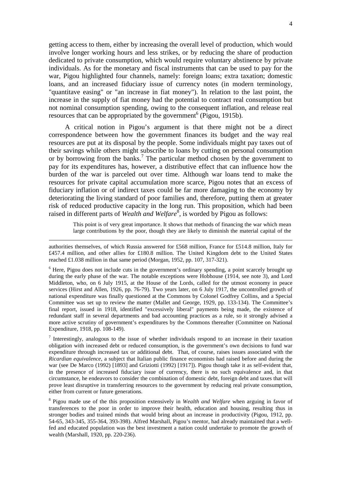getting access to them, either by increasing the overall level of production, which would involve longer working hours and less strikes, or by reducing the share of production dedicated to private consumption, which would require voluntary abstinence by private individuals. As for the monetary and fiscal instruments that can be used to pay for the war, Pigou highlighted four channels, namely: foreign loans; extra taxation; domestic loans, and an increased fiduciary issue of currency notes (in modern terminology, "quantitave easing" or "an increase in fiat money"). In relation to the last point, the increase in the supply of fiat money had the potential to contract real consumption but not nominal consumption spending, owing to the consequent inflation, and release real resources that can be appropriated by the government<sup>6</sup> (Pigou, 1915b).

A critical notion in Pigou's argument is that there might not be a direct correspondence between how the government finances its budget and the way real resources are put at its disposal by the people. Some individuals might pay taxes out of their savings while others might subscribe to loans by cutting on personal consumption or by borrowing from the banks.<sup>7</sup> The particular method chosen by the government to pay for its expenditures has, however, a distributive effect that can influence how the burden of the war is parceled out over time. Although war loans tend to make the resources for private capital accumulation more scarce, Pigou notes that an excess of fiduciary inflation or of indirect taxes could be far more damaging to the economy by deteriorating the living standard of poor families and, therefore, putting them at greater risk of reduced productive capacity in the long run. This proposition, which had been raised in different parts of *Wealth and Welfare*<sup>8</sup>, is worded by Pigou as follows:

> This point is of very great importance. It shows that methods of financing the war which mean large contributions by the poor, though they are likely to diminish the material capital of the

authorities themselves, of which Russia answered for £568 million, France for £514.8 million, Italy for £457.4 million, and other allies for £180.8 million. The United Kingdom debt to the United States reached £1.038 million in that same period (Morgan, 1952, pp. 107, 317-321).

 $\overline{a}$ 

<sup>6</sup> Here, Pigou does not include cuts in the government's ordinary spending, a point scarcely brought up during the early phase of the war. The notable exceptions were Hobhouse (1914, see note 3), and Lord Middleton, who, on 6 July 1915, at the House of the Lords, called for the utmost economy in peace services (Hirst and Allen, 1926, pp. 76-79). Two years later, on 6 July 1917, the uncontrolled growth of national expenditure was finally questioned at the Commons by Colonel Godfrey Collins, and a Special Committee was set up to review the matter (Mallet and George, 1929, pp. 133-134). The Committee's final report, issued in 1918, identified "excessively liberal" payments being made, the existence of redundant staff in several departments and bad accounting practices as a rule, so it strongly advised a more active scrutiny of government's expenditures by the Commons thereafter (Committee on National Expenditure, 1918, pp. 108-149).

<sup>7</sup> Interestingly, analogous to the issue of whether individuals respond to an increase in their taxation obligation with increased debt or reduced consumption, is the government's own decisions to fund war expenditure through increased tax or additional debt. That, of course, raises issues associated with the *Ricardian equivalence*, a subject that Italian public finance economists had raised before and during the war (see De Marco (1992) [1893] and Griziotti (1992) [1917]). Pigou though take it as self-evident that, in the presence of increased fiduciary issue of currency, there is no such equivalence and, in that circumstance, he endeavors to consider the combination of domestic debt, foreign debt and taxes that will prove least disruptive in transferring resources to the government by reducing real private consumption, either from current or future generations.

8 Pigou made use of the this proposition extensively in *Wealth and Welfare* when arguing in favor of transferences to the poor in order to improve their health, education and housing, resulting thus in stronger bodies and trained minds that would bring about an increase in productivity (Pigou, 1912, pp. 54-65, 343-345, 355-364, 393-398). Alfred Marshall, Pigou's mentor, had already maintained that a wellfed and educated population was the best investment a nation could undertake to promote the growth of wealth (Marshall, 1920, pp. 220-236).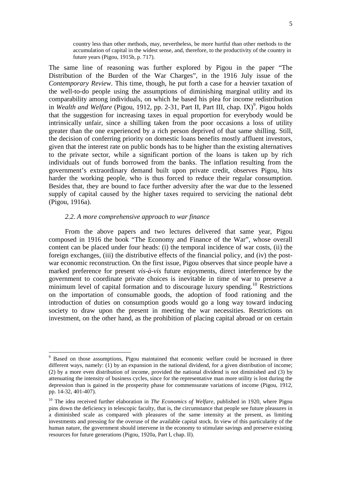country less than other methods, may, nevertheless, be more hurtful than other methods to the accumulation of capital in the widest sense, and, therefore, to the productivity of the country in future years (Pigou, 1915b, p. 717).

The same line of reasoning was further explored by Pigou in the paper "The Distribution of the Burden of the War Charges", in the 1916 July issue of the *Contemporary Review*. This time, though, he put forth a case for a heavier taxation of the well-to-do people using the assumptions of diminishing marginal utility and its comparability among individuals, on which he based his plea for income redistribution in Wealth and Welfare (Pigou, 1912, pp. 2-31, Part II, Part III, chap. IX)<sup>9</sup>. Pigou holds that the suggestion for increasing taxes in equal proportion for everybody would be intrinsically unfair, since a shilling taken from the poor occasions a loss of utility greater than the one experienced by a rich person deprived of that same shilling. Still, the decision of conferring priority on domestic loans benefits mostly affluent investors, given that the interest rate on public bonds has to be higher than the existing alternatives to the private sector, while a significant portion of the loans is taken up by rich individuals out of funds borrowed from the banks. The inflation resulting from the government's extraordinary demand built upon private credit, observes Pigou, hits harder the working people, who is thus forced to reduce their regular consumption. Besides that, they are bound to face further adversity after the war due to the lessened supply of capital caused by the higher taxes required to servicing the national debt (Pigou, 1916a).

#### *2.2. A more comprehensive approach to war finance*

l

From the above papers and two lectures delivered that same year, Pigou composed in 1916 the book "The Economy and Finance of the War", whose overall content can be placed under four heads: (i) the temporal incidence of war costs, (ii) the foreign exchanges, (iii) the distributive effects of the financial policy, and (iv) the postwar economic reconstruction. On the first issue, Pigou observes that since people have a marked preference for present *vis-à-vis* future enjoyments, direct interference by the government to coordinate private choices is inevitable in time of war to preserve a minimum level of capital formation and to discourage luxury spending.<sup>10</sup> Restrictions on the importation of consumable goods, the adoption of food rationing and the introduction of duties on consumption goods would go a long way toward inducing society to draw upon the present in meeting the war necessities. Restrictions on investment, on the other hand, as the prohibition of placing capital abroad or on certain

<sup>&</sup>lt;sup>9</sup> Based on those assumptions, Pigou maintained that economic welfare could be increased in three different ways, namely: (1) by an expansion in the national dividend, for a given distribution of income; (2) by a more even distribution of income, provided the national dividend is not diminished and (3) by attenuating the intensity of business cycles, since for the representative man more utility is lost during the depression than is gained in the prosperity phase for commensurate variations of income (Pigou, 1912, pp. 14-32, 401-407).

<sup>&</sup>lt;sup>10</sup> The idea received further elaboration in *The Economics of Welfare*, published in 1920, where Pigou pins down the deficiency in telescopic faculty, that is, the circumstance that people see future pleasures in a diminished scale as compared with pleasures of the same intensity at the present, as limiting investments and pressing for the overuse of the available capital stock. In view of this particularity of the human nature, the government should intervene in the economy to stimulate savings and preserve existing resources for future generations (Pigou, 1920a, Part I, chap. II).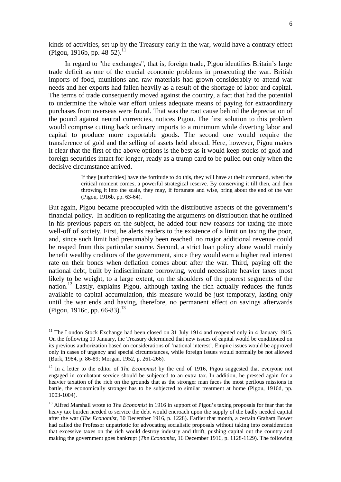kinds of activities, set up by the Treasury early in the war, would have a contrary effect (Pigou, 1916b, pp. 48-52).<sup>11</sup>

In regard to "the exchanges", that is, foreign trade, Pigou identifies Britain's large trade deficit as one of the crucial economic problems in prosecuting the war. British imports of food, munitions and raw materials had grown considerably to attend war needs and her exports had fallen heavily as a result of the shortage of labor and capital. The terms of trade consequently moved against the country, a fact that had the potential to undermine the whole war effort unless adequate means of paying for extraordinary purchases from overseas were found. That was the root cause behind the depreciation of the pound against neutral currencies, notices Pigou. The first solution to this problem would comprise cutting back ordinary imports to a minimum while diverting labor and capital to produce more exportable goods. The second one would require the transference of gold and the selling of assets held abroad. Here, however, Pigou makes it clear that the first of the above options is the best as it would keep stocks of gold and foreign securities intact for longer, ready as a trump card to be pulled out only when the decisive circumstance arrived.

> If they [authorities] have the fortitude to do this, they will have at their command, when the critical moment comes, a powerful strategical reserve. By conserving it till then, and then throwing it into the scale, they may, if fortunate and wise, bring about the end of the war (Pigou, 1916b, pp. 63-64).

But again, Pigou became preoccupied with the distributive aspects of the government's financial policy. In addition to replicating the arguments on distribution that he outlined in his previous papers on the subject, he added four new reasons for taxing the more well-off of society. First, he alerts readers to the existence of a limit on taxing the poor, and, since such limit had presumably been reached, no major additional revenue could be reaped from this particular source. Second, a strict loan policy alone would mainly benefit wealthy creditors of the government, since they would earn a higher real interest rate on their bonds when deflation comes about after the war. Third, paying off the national debt, built by indiscriminate borrowing, would necessitate heavier taxes most likely to be weight, to a large extent, on the shoulders of the poorest segments of the nation.<sup>12</sup> Lastly, explains Pigou, although taxing the rich actually reduces the funds available to capital accumulation, this measure would be just temporary, lasting only until the war ends and having, therefore, no permanent effect on savings afterwards (Pigou, 1916c, pp. 66-83).<sup>13</sup>

<sup>&</sup>lt;sup>11</sup> The London Stock Exchange had been closed on 31 July 1914 and reopened only in 4 January 1915. On the following 19 January, the Treasury determined that new issues of capital would be conditioned on its previous authorization based on considerations of 'national interest'. Empire issues would be approved only in cases of urgency and special circumstances, while foreign issues would normally be not allowed (Burk, 1984, p. 86-89; Morgan, 1952, p. 261-266).

<sup>&</sup>lt;sup>12</sup> In a letter to the editor of *The Economist* by the end of 1916, Pigou suggested that everyone not engaged in combatant service should be subjected to an extra tax. In addition, he pressed again for a heavier taxation of the rich on the grounds that as the stronger man faces the most perilous missions in battle, the economically stronger has to be subjected to similar treatment at home (Pigou, 1916d, pp. 1003-1004).

<sup>&</sup>lt;sup>13</sup> Alfred Marshall wrote to *The Economist* in 1916 in support of Pigou's taxing proposals for fear that the heavy tax burden needed to service the debt would encroach upon the supply of the badly needed capital after the war (*The Economist*, 30 December 1916, p. 1228). Earlier that month, a certain Graham Bower had called the Professor unpatriotic for advocating socialistic proposals without taking into consideration that excessive taxes on the rich would destroy industry and thrift, pushing capital out the country and making the government goes bankrupt (*The Economist*, 16 December 1916, p. 1128-1129). The following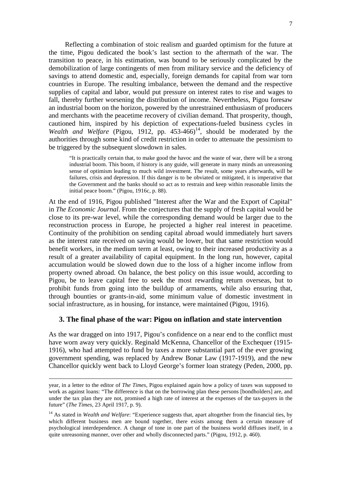Reflecting a combination of stoic realism and guarded optimism for the future at the time, Pigou dedicated the book's last section to the aftermath of the war. The transition to peace, in his estimation, was bound to be seriously complicated by the demobilization of large contingents of men from military service and the deficiency of savings to attend domestic and, especially, foreign demands for capital from war torn countries in Europe. The resulting imbalance, between the demand and the respective supplies of capital and labor, would put pressure on interest rates to rise and wages to fall, thereby further worsening the distribution of income. Nevertheless, Pigou foresaw an industrial boom on the horizon, powered by the unrestrained enthusiasm of producers and merchants with the peacetime recovery of civilian demand. That prosperity, though, cautioned him, inspired by his depiction of expectations-fueled business cycles in *Wealth and Welfare* (Pigou, 1912, pp.  $453-466$ )<sup>14</sup>, should be moderated by the authorities through some kind of credit restriction in order to attenuate the pessimism to be triggered by the subsequent slowdown in sales.

"It is practically certain that, to make good the havoc and the waste of war, there will be a strong industrial boom. This boom, if history is any guide, will generate in many minds an unreasoning sense of optimism leading to much wild investment. The result, some years afterwards, will be failures, crisis and depression. If this danger is to be obviated or mitigated, it is imperative that the Government and the banks should so act as to restrain and keep within reasonable limits the initial peace boom." (Pigou, 1916c, p. 88).

At the end of 1916, Pigou published "Interest after the War and the Export of Capital" in *The Economic Journal*. From the conjectures that the supply of fresh capital would be close to its pre-war level, while the corresponding demand would be larger due to the reconstruction process in Europe, he projected a higher real interest in peacetime. Continuity of the prohibition on sending capital abroad would immediately hurt savers as the interest rate received on saving would be lower, but that same restriction would benefit workers, in the medium term at least, owing to their increased productivity as a result of a greater availability of capital equipment. In the long run, however, capital accumulation would be slowed down due to the loss of a higher income inflow from property owned abroad. On balance, the best policy on this issue would, according to Pigou, be to leave capital free to seek the most rewarding return overseas, but to prohibit funds from going into the buildup of armaments, while also ensuring that, through bounties or grants-in-aid, some minimum value of domestic investment in social infrastructure, as in housing, for instance, were maintained (Pigou, 1916).

#### **3. The final phase of the war: Pigou on inflation and state intervention**

As the war dragged on into 1917, Pigou's confidence on a near end to the conflict must have worn away very quickly. Reginald McKenna, Chancellor of the Exchequer (1915- 1916), who had attempted to fund by taxes a more substantial part of the ever growing government spending, was replaced by Andrew Bonar Law (1917-1919), and the new Chancellor quickly went back to Lloyd George's former loan strategy (Peden, 2000, pp.

year, in a letter to the editor of *The Times*, Pigou explained again how a policy of taxes was supposed to work as against loans: "The difference is that on the borrowing plan these persons [bondholders] are, and under the tax plan they are not, promised a high rate of interest at the expenses of the tax-payers in the future" (*The Times*, 23 April 1917, p. 9).

<sup>&</sup>lt;sup>14</sup> As stated in *Wealth and Welfare*: "Experience suggests that, apart altogether from the financial ties, by which different business men are bound together, there exists among them a certain measure of psychological interdependence. A change of tone in one part of the business world diffuses itself, in a quite unreasoning manner, over other and wholly disconnected parts." (Pigou, 1912, p. 460).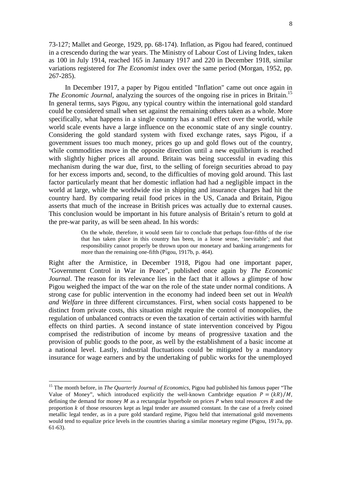73-127; Mallet and George, 1929, pp. 68-174). Inflation, as Pigou had feared, continued in a crescendo during the war years. The Ministry of Labour Cost of Living Index, taken as 100 in July 1914, reached 165 in January 1917 and 220 in December 1918, similar variations registered for *The Economist* index over the same period (Morgan, 1952, pp. 267-285).

In December 1917, a paper by Pigou entitled "Inflation" came out once again in *The Economic Journal*, analyzing the sources of the ongoing rise in prices in Britain.<sup>15</sup> In general terms, says Pigou, any typical country within the international gold standard could be considered small when set against the remaining others taken as a whole. More specifically, what happens in a single country has a small effect over the world, while world scale events have a large influence on the economic state of any single country. Considering the gold standard system with fixed exchange rates, says Pigou, if a government issues too much money, prices go up and gold flows out of the country, while commodities move in the opposite direction until a new equilibrium is reached with slightly higher prices all around. Britain was being successful in evading this mechanism during the war due, first, to the selling of foreign securities abroad to pay for her excess imports and, second, to the difficulties of moving gold around. This last factor particularly meant that her domestic inflation had had a negligible impact in the world at large, while the worldwide rise in shipping and insurance charges had hit the country hard. By comparing retail food prices in the US, Canada and Britain, Pigou asserts that much of the increase in British prices was actually due to external causes. This conclusion would be important in his future analysis of Britain's return to gold at the pre-war parity, as will be seen ahead. In his words:

> On the whole, therefore, it would seem fair to conclude that perhaps four-fifths of the rise that has taken place in this country has been, in a loose sense, 'inevitable'; and that responsibility cannot properly be thrown upon our monetary and banking arrangements for more than the remaining one-fifth (Pigou, 1917b, p. 464).

Right after the Armistice, in December 1918, Pigou had one important paper, "Government Control in War in Peace", published once again by *The Economic Journal*. The reason for its relevance lies in the fact that it allows a glimpse of how Pigou weighed the impact of the war on the role of the state under normal conditions. A strong case for public intervention in the economy had indeed been set out in *Wealth and Welfare* in three different circumstances. First, when social costs happened to be distinct from private costs, this situation might require the control of monopolies, the regulation of unbalanced contracts or even the taxation of certain activities with harmful effects on third parties. A second instance of state intervention conceived by Pigou comprised the redistribution of income by means of progressive taxation and the provision of public goods to the poor, as well by the establishment of a basic income at a national level. Lastly, industrial fluctuations could be mitigated by a mandatory insurance for wage earners and by the undertaking of public works for the unemployed

l

<sup>&</sup>lt;sup>15</sup> The month before, in *The Quarterly Journal of Economics*, Pigou had published his famous paper "The Value of Money", which introduced explicitly the well-known Cambridge equation  $P = (kR)/M$ , defining the demand for money  $M$  as a rectangular hyperbole on prices  $P$  when total resources  $R$  and the proportion  $k$  of those resources kept as legal tender are assumed constant. In the case of a freely coined metallic legal tender, as in a pure gold standard regime, Pigou held that international gold movements would tend to equalize price levels in the countries sharing a similar monetary regime (Pigou, 1917a, pp. 61-63).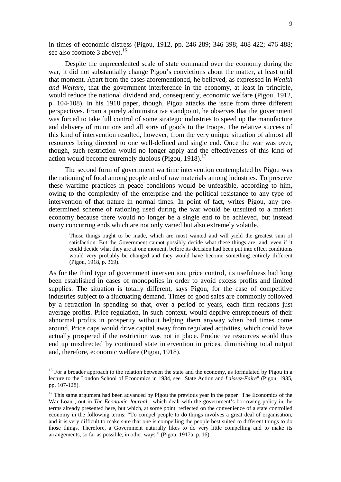in times of economic distress (Pigou, 1912, pp. 246-289; 346-398; 408-422; 476-488; see also footnote 3 above).<sup>16</sup>

Despite the unprecedented scale of state command over the economy during the war, it did not substantially change Pigou's convictions about the matter, at least until that moment. Apart from the cases aforementioned, he believed, as expressed in *Wealth and Welfare*, that the government interference in the economy, at least in principle, would reduce the national dividend and, consequently, economic welfare (Pigou, 1912, p. 104-108). In his 1918 paper, though, Pigou attacks the issue from three different perspectives. From a purely administrative standpoint, he observes that the government was forced to take full control of some strategic industries to speed up the manufacture and delivery of munitions and all sorts of goods to the troops. The relative success of this kind of intervention resulted, however, from the very unique situation of almost all resources being directed to one well-defined and single end. Once the war was over, though, such restriction would no longer apply and the effectiveness of this kind of action would become extremely dubious (Pigou, 1918).<sup>17</sup>

The second form of government wartime intervention contemplated by Pigou was the rationing of food among people and of raw materials among industries. To preserve these wartime practices in peace conditions would be unfeasible, according to him, owing to the complexity of the enterprise and the political resistance to any type of intervention of that nature in normal times. In point of fact, writes Pigou, any predetermined scheme of rationing used during the war would be unsuited to a market economy because there would no longer be a single end to be achieved, but instead many concurring ends which are not only varied but also extremely volatile.

Those things ought to be made, which are most wanted and will yield the greatest sum of satisfaction. But the Government cannot possibly decide what these things are; and, even if it could decide what they are at one moment, before its decision had been put into effect conditions would very probably be changed and they would have become something entirely different (Pigou, 1918, p. 369).

As for the third type of government intervention, price control, its usefulness had long been established in cases of monopolies in order to avoid excess profits and limited supplies. The situation is totally different, says Pigou, for the case of competitive industries subject to a fluctuating demand. Times of good sales are commonly followed by a retraction in spending so that, over a period of years, each firm reckons just average profits. Price regulation, in such context, would deprive entrepreneurs of their abnormal profits in prosperity without helping them anyway when bad times come around. Price caps would drive capital away from regulated activities, which could have actually prospered if the restriction was not in place. Productive resources would thus end up misdirected by continued state intervention in prices, diminishing total output and, therefore, economic welfare (Pigou, 1918).

<sup>&</sup>lt;sup>16</sup> For a broader approach to the relation between the state and the economy, as formulated by Pigou in a lecture to the London School of Economics in 1934, see "State Action and *Laissez-Faire*" (Pigou, 1935, pp. 107-128).

 $17$  This same argument had been advanced by Pigou the previous year in the paper "The Economics of the War Loan", out in *The Economic Journal*, which dealt with the government's borrowing policy in the terms already presented here, but which, at some point, reflected on the convenience of a state controlled economy in the following terms: "To compel people to do things involves a great deal of organisation, and it is very difficult to make sure that one is compelling the people best suited to different things to do those things. Therefore, a Government naturally likes to do very little compelling and to make its arrangements, so far as possible, in other ways." (Pigou, 1917a, p. 16).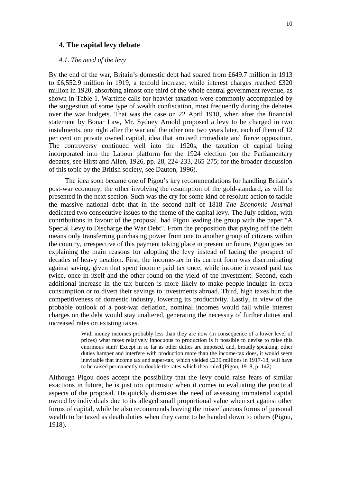#### **4. The capital levy debate**

*4.1. The need of the levy* 

By the end of the war, Britain's domestic debt had soared from £649.7 million in 1913 to £6,552.9 million in 1919, a tenfold increase, while interest charges reached £320 million in 1920, absorbing almost one third of the whole central government revenue, as shown in Table 1. Wartime calls for heavier taxation were commonly accompanied by the suggestion of some type of wealth confiscation, most frequently during the debates over the war budgets. That was the case on 22 April 1918, when after the financial statement by Bonar Law, Mr. Sydney Arnold proposed a levy to be charged in two instalments, one right after the war and the other one two years later, each of them of 12 per cent on private owned capital, idea that aroused immediate and fierce opposition. The controversy continued well into the 1920s, the taxation of capital being incorporated into the Labour platform for the 1924 election (on the Parliamentary debates, see Hirst and Allen, 1926, pp. 28, 224-233, 265-275; for the broader discussion of this topic by the British society, see Dauton, 1996).

The idea soon became one of Pigou's key recommendations for handling Britain's post-war economy, the other involving the resumption of the gold-standard, as will be presented in the next section. Such was the cry for some kind of resolute action to tackle the massive national debt that in the second half of 1818 *The Economic Journal* dedicated two consecutive issues to the theme of the capital levy. The July edition, with contributions in favour of the proposal, had Pigou leading the group with the paper "A Special Levy to Discharge the War Debt". From the proposition that paying off the debt means only transferring purchasing power from one to another group of citizens within the country, irrespective of this payment taking place in present or future, Pigou goes on explaining the main reasons for adopting the levy instead of facing the prospect of decades of heavy taxation. First, the income-tax in its current form was discriminating against saving, given that spent income paid tax once, while income invested paid tax twice, once in itself and the other round on the yield of the investment. Second, each additional increase in the tax burden is more likely to make people indulge in extra consumption or to divert their savings to investments abroad. Third, high taxes hurt the competitiveness of domestic industry, lowering its productivity. Lastly, in view of the probable outlook of a post-war deflation, nominal incomes would fall while interest charges on the debt would stay unaltered, generating the necessity of further duties and increased rates on existing taxes.

> With money incomes probably less than they are now (in consequence of a lower level of prices) what taxes relatively innocuous to production is it possible to devise to raise this enormous sum? Except in so far as other duties are imposed, and, broadly speaking, other duties hamper and interfere with production more than the income-tax does, it would seem inevitable that income tax and super-tax, which yielded £239 millions in 1917-18, will have to be raised permanently to double the rates which then ruled (Pigou, 1918, p. 142).

Although Pigou does accept the possibility that the levy could raise fears of similar exactions in future, he is just too optimistic when it comes to evaluating the practical aspects of the proposal. He quickly dismisses the need of assessing immaterial capital owned by individuals due to its alleged small proportional value when set against other forms of capital, while he also recommends leaving the miscellaneous forms of personal wealth to be taxed as death duties when they came to be handed down to others (Pigou, 1918).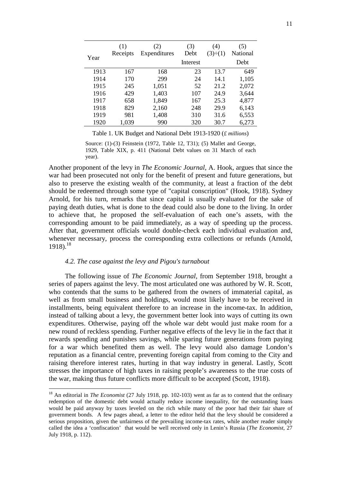|      | (1)<br>Receipts | (2)<br>Expenditures | (3)<br>Debt | (4)<br>$(3)\div(1)$ | (5)<br><b>National</b> |
|------|-----------------|---------------------|-------------|---------------------|------------------------|
| Year |                 |                     | Interest    |                     | Debt                   |
| 1913 | 167             | 168                 | 23          | 13.7                | 649                    |
| 1914 | 170             | 299                 | 24          | 14.1                | 1,105                  |
| 1915 | 245             | 1,051               | 52          | 21.2                | 2,072                  |
| 1916 | 429             | 1,403               | 107         | 24.9                | 3,644                  |
| 1917 | 658             | 1,849               | 167         | 25.3                | 4,877                  |
| 1918 | 829             | 2,160               | 248         | 29.9                | 6,143                  |
| 1919 | 981             | 1,408               | 310         | 31.6                | 6,553                  |
| 1920 | 1,039           | 990                 | 320         | 30.7                | 6,273                  |

Table 1. UK Budget and National Debt 1913-1920 (*£ millions*)

Source: (1)-(3) Feinstein (1972, Table 12, T31); (5) Mallet and George. 1929, Table XIX, p. 411 (National Debt values on 31 March of each year).

Another proponent of the levy in *The Economic Journal*, A. Hook, argues that since the war had been prosecuted not only for the benefit of present and future generations, but also to preserve the existing wealth of the community, at least a fraction of the debt should be redeemed through some type of "capital conscription" (Hook, 1918). Sydney Arnold, for his turn, remarks that since capital is usually evaluated for the sake of paying death duties, what is done to the dead could also be done to the living. In order to achieve that, he proposed the self-evaluation of each one's assets, with the corresponding amount to be paid immediately, as a way of speeding up the process. After that, government officials would double-check each individual evaluation and, whenever necessary, process the corresponding extra collections or refunds (Arnold,  $1918$ .<sup>18</sup>

#### *4.2. The case against the levy and Pigou's turnabout*

 $\overline{a}$ 

The following issue of *The Economic Journal*, from September 1918, brought a series of papers against the levy. The most articulated one was authored by W. R. Scott, who contends that the sums to be gathered from the owners of immaterial capital, as well as from small business and holdings, would most likely have to be received in installments, being equivalent therefore to an increase in the income-tax. In addition, instead of talking about a levy, the government better look into ways of cutting its own expenditures. Otherwise, paying off the whole war debt would just make room for a new round of reckless spending. Further negative effects of the levy lie in the fact that it rewards spending and punishes savings, while sparing future generations from paying for a war which benefited them as well. The levy would also damage London's reputation as a financial centre, preventing foreign capital from coming to the City and raising therefore interest rates, hurting in that way industry in general. Lastly, Scott stresses the importance of high taxes in raising people's awareness to the true costs of the war, making thus future conflicts more difficult to be accepted (Scott, 1918).

<sup>&</sup>lt;sup>18</sup> An editorial in *The Economist* (27 July 1918, pp. 102-103) went as far as to contend that the ordinary redemption of the domestic debt would actually reduce income inequality, for the outstanding loans would be paid anyway by taxes leveled on the rich while many of the poor had their fair share of government bonds. A few pages ahead, a letter to the editor held that the levy should be considered a serious proposition, given the unfairness of the prevailing income-tax rates, while another reader simply called the idea a 'confiscation' that would be well received only in Lenin's Russia (*The Economist*, 27 July 1918, p. 112).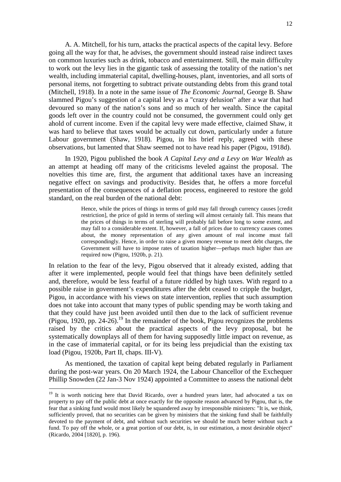A. A. Mitchell, for his turn, attacks the practical aspects of the capital levy. Before going all the way for that, he advises, the government should instead raise indirect taxes on common luxuries such as drink, tobacco and entertainment. Still, the main difficulty to work out the levy lies in the gigantic task of assessing the totality of the nation's net wealth, including immaterial capital, dwelling-houses, plant, inventories, and all sorts of personal items, not forgetting to subtract private outstanding debts from this grand total (Mitchell, 1918). In a note in the same issue of *The Economic Journal*, George B. Shaw slammed Pigou's suggestion of a capital levy as a "crazy delusion" after a war that had devoured so many of the nation's sons and so much of her wealth. Since the capital goods left over in the country could not be consumed, the government could only get ahold of current income. Even if the capital levy were made effective, claimed Shaw, it was hard to believe that taxes would be actually cut down, particularly under a future Labour government (Shaw, 1918). Pigou, in his brief reply, agreed with these observations, but lamented that Shaw seemed not to have read his paper (Pigou, 1918d).

In 1920, Pigou published the book *A Capital Levy and a Levy on War Wealth* as an attempt at heading off many of the criticisms leveled against the proposal. The novelties this time are, first, the argument that additional taxes have an increasing negative effect on savings and productivity. Besides that, he offers a more forceful presentation of the consequences of a deflation process, engineered to restore the gold standard, on the real burden of the national debt:

> Hence, while the prices of things in terms of gold may fall through currency causes [credit restriction], the price of gold in terms of sterling will almost certainly fall. This means that the prices of things in terms of sterling will probably fall before long to some extent, and may fall to a considerable extent. If, however, a fall of prices due to currency causes comes about, the money representation of any given amount of real income must fall correspondingly. Hence, in order to raise a given money revenue to meet debt charges, the Government will have to impose rates of taxation higher—perhaps much higher than are required now (Pigou, 1920b, p. 21).

In relation to the fear of the levy, Pigou observed that it already existed, adding that after it were implemented, people would feel that things have been definitely settled and, therefore, would be less fearful of a future riddled by high taxes. With regard to a possible raise in government's expenditures after the debt ceased to cripple the budget, Pigou, in accordance with his views on state intervention, replies that such assumption does not take into account that many types of public spending may be worth taking and that they could have just been avoided until then due to the lack of sufficient revenue (Pigou, 1920, pp. 24-26).<sup>19</sup> In the remainder of the book, Pigou recognizes the problems raised by the critics about the practical aspects of the levy proposal, but he systematically downplays all of them for having supposedly little impact on revenue, as in the case of immaterial capital, or for its being less prejudicial than the existing tax load (Pigou, 1920b, Part II, chaps. III-V).

As mentioned, the taxation of capital kept being debated regularly in Parliament during the post-war years. On 20 March 1924, the Labour Chancellor of the Exchequer Phillip Snowden (22 Jan-3 Nov 1924) appointed a Committee to assess the national debt

<sup>&</sup>lt;sup>19</sup> It is worth noticing here that David Ricardo, over a hundred years later, had advocated a tax on property to pay off the public debt at once exactly for the opposite reason advanced by Pigou, that is, the fear that a sinking fund would most likely be squandered away by irresponsible ministers: "It is, we think, sufficiently proved, that no securities can be given by ministers that the sinking fund shall be faithfully devoted to the payment of debt, and without such securities we should be much better without such a fund. To pay off the whole, or a great portion of our debt, is, in our estimation, a most desirable object" (Ricardo, 2004 [1820], p. 196).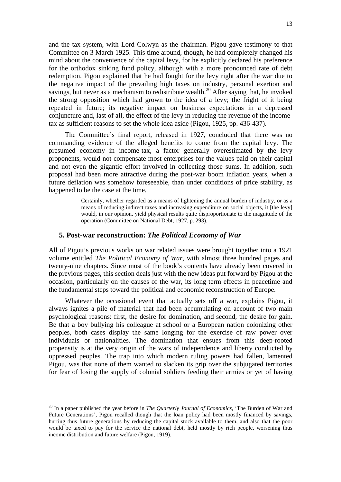and the tax system, with Lord Colwyn as the chairman. Pigou gave testimony to that Committee on 3 March 1925. This time around, though, he had completely changed his mind about the convenience of the capital levy, for he explicitly declared his preference for the orthodox sinking fund policy, although with a more pronounced rate of debt redemption. Pigou explained that he had fought for the levy right after the war due to the negative impact of the prevailing high taxes on industry, personal exertion and savings, but never as a mechanism to redistribute wealth.<sup>20</sup> After saying that, he invoked the strong opposition which had grown to the idea of a levy; the fright of it being repeated in future; its negative impact on business expectations in a depressed conjuncture and, last of all, the effect of the levy in reducing the revenue of the incometax as sufficient reasons to set the whole idea aside (Pigou, 1925, pp. 436-437).

The Committee's final report, released in 1927, concluded that there was no commanding evidence of the alleged benefits to come from the capital levy. The presumed economy in income-tax, a factor generally overestimated by the levy proponents, would not compensate most enterprises for the values paid on their capital and not even the gigantic effort involved in collecting those sums. In addition, such proposal had been more attractive during the post-war boom inflation years, when a future deflation was somehow foreseeable, than under conditions of price stability, as happened to be the case at the time.

> Certainly, whether regarded as a means of lightening the annual burden of industry, or as a means of reducing indirect taxes and increasing expenditure on social objects, it [the levy] would, in our opinion, yield physical results quite disproportionate to the magnitude of the operation (Committee on National Debt, 1927, p. 293).

### **5. Post-war reconstruction:** *The Political Economy of War*

All of Pigou's previous works on war related issues were brought together into a 1921 volume entitled *The Political Economy of War*, with almost three hundred pages and twenty-nine chapters. Since most of the book's contents have already been covered in the previous pages, this section deals just with the new ideas put forward by Pigou at the occasion, particularly on the causes of the war, its long term effects in peacetime and the fundamental steps toward the political and economic reconstruction of Europe.

Whatever the occasional event that actually sets off a war, explains Pigou, it always ignites a pile of material that had been accumulating on account of two main psychological reasons: first, the desire for domination, and second, the desire for gain. Be that a boy bullying his colleague at school or a European nation colonizing other peoples, both cases display the same longing for the exercise of raw power over individuals or nationalities. The domination that ensues from this deep-rooted propensity is at the very origin of the wars of independence and liberty conducted by oppressed peoples. The trap into which modern ruling powers had fallen, lamented Pigou, was that none of them wanted to slacken its grip over the subjugated territories for fear of losing the supply of colonial soldiers feeding their armies or yet of having

<sup>20</sup> In a paper published the year before in *The Quarterly Journal of Economics*, 'The Burden of War and Future Generations', Pigou recalled though that the loan policy had been mostly financed by savings, hurting thus future generations by reducing the capital stock available to them, and also that the poor would be taxed to pay for the service the national debt, held mostly by rich people, worsening thus income distribution and future welfare (Pigou, 1919).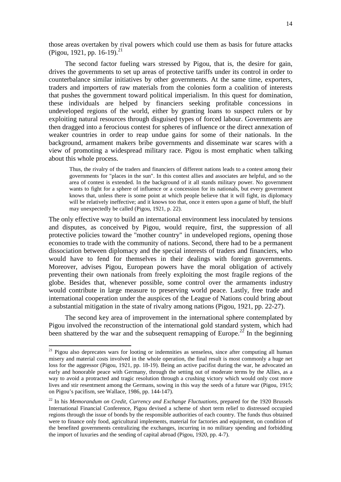those areas overtaken by rival powers which could use them as basis for future attacks (Pigou, 1921, pp. 16-19).<sup>21</sup>

The second factor fueling wars stressed by Pigou, that is, the desire for gain, drives the governments to set up areas of protective tariffs under its control in order to counterbalance similar initiatives by other governments. At the same time, exporters, traders and importers of raw materials from the colonies form a coalition of interests that pushes the government toward political imperialism. In this quest for domination, these individuals are helped by financiers seeking profitable concessions in undeveloped regions of the world, either by granting loans to suspect rulers or by exploiting natural resources through disguised types of forced labour. Governments are then dragged into a ferocious contest for spheres of influence or the direct annexation of weaker countries in order to reap undue gains for some of their nationals. In the background, armament makers bribe governments and disseminate war scares with a view of promoting a widespread military race. Pigou is most emphatic when talking about this whole process.

Thus, the rivalry of the traders and financiers of different nations leads to a contest among their governments for "places in the sun". In this contest allies and associates are helpful, and so the area of contest is extended. In the background of it all stands military power. No government wants to fight for a sphere of influence or a concession for its nationals, but every government knows that, unless there is some point at which people believe that it will fight, its diplomacy will be relatively ineffective; and it knows too that, once it enters upon a game of bluff, the bluff may unexpectedly be called (Pigou, 1921, p. 22).

The only effective way to build an international environment less inoculated by tensions and disputes, as conceived by Pigou, would require, first, the suppression of all protective policies toward the "mother country" in undeveloped regions, opening those economies to trade with the community of nations. Second, there had to be a permanent dissociation between diplomacy and the special interests of traders and financiers, who would have to fend for themselves in their dealings with foreign governments. Moreover, advises Pigou, European powers have the moral obligation of actively preventing their own nationals from freely exploiting the most fragile regions of the globe. Besides that, whenever possible, some control over the armaments industry would contribute in large measure to preserving world peace. Lastly, free trade and international cooperation under the auspices of the League of Nations could bring about a substantial mitigation in the state of rivalry among nations (Pigou, 1921, pp. 22-27).

The second key area of improvement in the international sphere contemplated by Pigou involved the reconstruction of the international gold standard system, which had been shattered by the war and the subsequent remapping of Europe.<sup>22</sup> In the beginning

<sup>&</sup>lt;sup>21</sup> Pigou also deprecates wars for looting or indemnities as senseless, since after computing all human misery and material costs involved in the whole operation, the final result is most commonly a huge net loss for the aggressor (Pigou, 1921, pp. 18-19). Being an active pacifist during the war, he advocated an early and honorable peace with Germany, through the setting out of moderate terms by the Allies, as a way to avoid a protracted and tragic resolution through a crushing victory which would only cost more lives and stir resentment among the Germans, sowing in this way the seeds of a future war (Pigou, 1915; on Pigou's pacifism, see Wallace, 1986, pp. 144-147).

<sup>&</sup>lt;sup>22</sup> In his *Memorandum on Credit, Currency and Exchange Fluctuations*, prepared for the 1920 Brussels International Financial Conference, Pigou devised a scheme of short term relief to distressed occupied regions through the issue of bonds by the responsible authorities of each country. The funds thus obtained were to finance only food, agricultural implements, material for factories and equipment, on condition of the benefited governments centralizing the exchanges, incurring in no military spending and forbidding the import of luxuries and the sending of capital abroad (Pigou, 1920, pp. 4-7).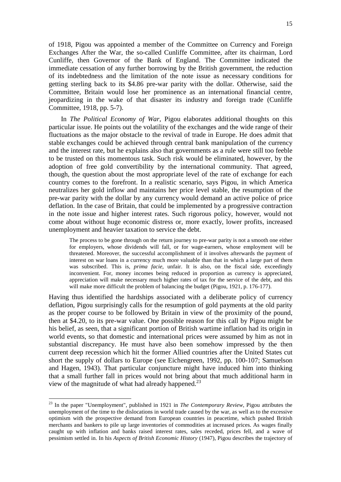of 1918, Pigou was appointed a member of the Committee on Currency and Foreign Exchanges After the War, the so-called Cunliffe Committee, after its chairman, Lord Cunliffe, then Governor of the Bank of England. The Committee indicated the immediate cessation of any further borrowing by the British government, the reduction of its indebtedness and the limitation of the note issue as necessary conditions for getting sterling back to its \$4.86 pre-war parity with the dollar. Otherwise, said the Committee, Britain would lose her prominence as an international financial centre, jeopardizing in the wake of that disaster its industry and foreign trade (Cunliffe Committee, 1918, pp. 5-7).

In *The Political Economy of War*, Pigou elaborates additional thoughts on this particular issue. He points out the volatility of the exchanges and the wide range of their fluctuations as the major obstacle to the revival of trade in Europe. He does admit that stable exchanges could be achieved through central bank manipulation of the currency and the interest rate, but he explains also that governments as a rule were still too feeble to be trusted on this momentous task. Such risk would be eliminated, however, by the adoption of free gold convertibility by the international community. That agreed, though, the question about the most appropriate level of the rate of exchange for each country comes to the forefront. In a realistic scenario, says Pigou, in which America neutralizes her gold inflow and maintains her price level stable, the resumption of the pre-war parity with the dollar by any currency would demand an active police of price deflation. In the case of Britain, that could be implemented by a progressive contraction in the note issue and higher interest rates. Such rigorous policy, however, would not come about without huge economic distress or, more exactly, lower profits, increased unemployment and heavier taxation to service the debt.

The process to be gone through on the return journey to pre-war parity is not a smooth one either for employers, whose dividends will fall, or for wage-earners, whose employment will be threatened. Moreover, the successful accomplishment of it involves afterwards the payment of interest on war loans in a currency much more valuable than that in which a large part of them was subscribed. This is, *prima facie*, unfair. It is also, on the fiscal side, exceedingly inconvenient. For, money incomes being reduced in proportion as currency is appreciated, appreciation will make necessary much higher rates of tax for the service of the debt, and this will make more difficult the problem of balancing the budget (Pigou, 1921, p. 176-177).

Having thus identified the hardships associated with a deliberate policy of currency deflation, Pigou surprisingly calls for the resumption of gold payments at the old parity as the proper course to be followed by Britain in view of the proximity of the pound, then at \$4.20, to its pre-war value. One possible reason for this call by Pigou might be his belief, as seen, that a significant portion of British wartime inflation had its origin in world events, so that domestic and international prices were assumed by him as not in substantial discrepancy. He must have also been somehow impressed by the then current deep recession which hit the former Allied countries after the United States cut short the supply of dollars to Europe (see Eichengreen, 1992, pp. 100-107; Samuelson and Hagen, 1943). That particular conjuncture might have induced him into thinking that a small further fall in prices would not bring about that much additional harm in view of the magnitude of what had already happened.<sup>23</sup>

l

<sup>23</sup> In the paper "Unemployment", published in 1921 in *The Contemporary Review*, Pigou attributes the unemployment of the time to the dislocations in world trade caused by the war, as well as to the excessive optimism with the prospective demand from European countries in peacetime, which pushed British merchants and bankers to pile up large inventories of commodities at increased prices. As wages finally caught up with inflation and banks raised interest rates, sales receded, prices fell, and a wave of pessimism settled in. In his *Aspects of British Economic History* (1947), Pigou describes the trajectory of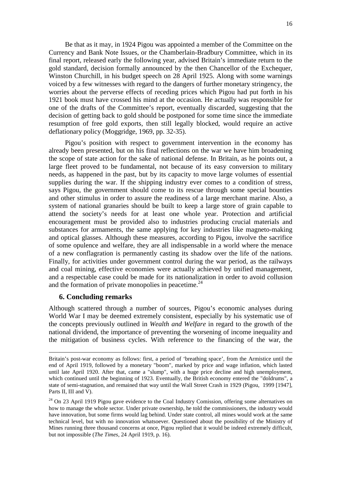Be that as it may, in 1924 Pigou was appointed a member of the Committee on the Currency and Bank Note Issues, or the Chamberlain-Bradbury Committee, which in its final report, released early the following year, advised Britain's immediate return to the gold standard, decision formally announced by the then Chancellor of the Exchequer, Winston Churchill, in his budget speech on 28 April 1925. Along with some warnings voiced by a few witnesses with regard to the dangers of further monetary stringency, the worries about the perverse effects of receding prices which Pigou had put forth in his 1921 book must have crossed his mind at the occasion. He actually was responsible for one of the drafts of the Committee's report, eventually discarded, suggesting that the decision of getting back to gold should be postponed for some time since the immediate resumption of free gold exports, then still legally blocked, would require an active deflationary policy (Moggridge, 1969, pp. 32-35).

Pigou's position with respect to government intervention in the economy has already been presented, but on his final reflections on the war we have him broadening the scope of state action for the sake of national defense. In Britain, as he points out, a large fleet proved to be fundamental, not because of its easy conversion to military needs, as happened in the past, but by its capacity to move large volumes of essential supplies during the war. If the shipping industry ever comes to a condition of stress, says Pigou, the government should come to its rescue through some special bounties and other stimulus in order to assure the readiness of a large merchant marine. Also, a system of national granaries should be built to keep a large store of grain capable to attend the society's needs for at least one whole year. Protection and artificial encouragement must be provided also to industries producing crucial materials and substances for armaments, the same applying for key industries like magneto-making and optical glasses. Although these measures, according to Pigou, involve the sacrifice of some opulence and welfare, they are all indispensable in a world where the menace of a new conflagration is permanently casting its shadow over the life of the nations. Finally, for activities under government control during the war period, as the railways and coal mining, effective economies were actually achieved by unified management, and a respectable case could be made for its nationalization in order to avoid collusion and the formation of private monopolies in peacetime.<sup>24</sup>

### **6. Concluding remarks**

 $\overline{a}$ 

Although scattered through a number of sources, Pigou's economic analyses during World War I may be deemed extremely consistent, especially by his systematic use of the concepts previously outlined in *Wealth and Welfare* in regard to the growth of the national dividend, the importance of preventing the worsening of income inequality and the mitigation of business cycles. With reference to the financing of the war, the

Britain's post-war economy as follows: first, a period of 'breathing space', from the Armistice until the end of April 1919, followed by a monetary "boom", marked by price and wage inflation, which lasted until late April 1920. After that, came a "slump", with a huge price decline and high unemployment, which continued until the beginning of 1923. Eventually, the British economy entered the "doldrums", a state of semi-stagnation, and remained that way until the Wall Street Crash in 1929 (Pigou, 1999 [1947], Parts II, III and V).

<sup>&</sup>lt;sup>24</sup> On 23 April 1919 Pigou gave evidence to the Coal Industry Comission, offering some alternatives on how to manage the whole sector. Under private ownership, he told the commissioners, the industry would have innovation, but some firms would lag behind. Under state control, all mines would work at the same technical level, but with no innovation whatsoever. Questioned about the possibility of the Ministry of Mines running three thousand concerns at once, Pigou replied that it would be indeed extremely difficult, but not impossible (*The Times*, 24 April 1919, p. 16).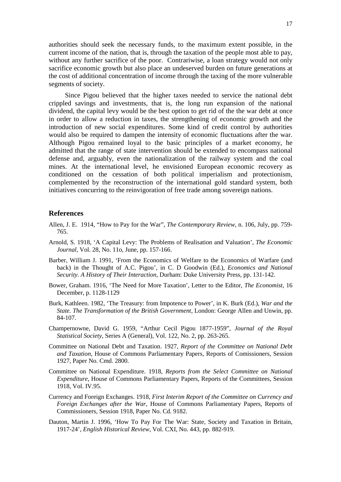authorities should seek the necessary funds, to the maximum extent possible, in the current income of the nation, that is, through the taxation of the people most able to pay, without any further sacrifice of the poor. Contrariwise, a loan strategy would not only sacrifice economic growth but also place an undeserved burden on future generations at the cost of additional concentration of income through the taxing of the more vulnerable segments of society.

Since Pigou believed that the higher taxes needed to service the national debt crippled savings and investments, that is, the long run expansion of the national dividend, the capital levy would be the best option to get rid of the the war debt at once in order to allow a reduction in taxes, the strengthening of economic growth and the introduction of new social expenditures. Some kind of credit control by authorities would also be required to dampen the intensity of economic fluctuations after the war. Although Pigou remained loyal to the basic principles of a market economy, he admitted that the range of state intervention should be extended to encompass national defense and, arguably, even the nationalization of the railway system and the coal mines. At the international level, he envisioned European economic recovery as conditioned on the cessation of both political imperialism and protectionism, complemented by the reconstruction of the international gold standard system, both initiatives concurring to the reinvigoration of free trade among sovereign nations.

#### **References**

- Allen, J. E. 1914, "How to Pay for the War", *The Contemporary Review*, n. 106, July, pp. 759- 765.
- Arnold, S. 1918, 'A Capital Levy: The Problems of Realisation and Valuation', *The Economic Journal*, Vol. 28, No. 11o, June, pp. 157-166.
- Barber, William J. 1991, 'From the Economics of Welfare to the Economics of Warfare (and back) in the Thought of A.C. Pigou', in C. D Goodwin (Ed.), *Economics and National Security. A History of Their Interaction*, Durham: Duke University Press, pp. 131-142.
- Bower, Graham. 1916, 'The Need for More Taxation', Letter to the Editor, *The Economist*, 16 December, p. 1128-1129
- Burk, Kathleen. 1982, 'The Treasury: from Impotence to Power', in K. Burk (Ed.), *War and the State. The Transformation of the British Government,* London: George Allen and Unwin, pp. 84-107.
- Champernowne, David G. 1959, "Arthur Cecil Pigou 1877-1959", *Journal of the Royal Statistical Society*, Series A (General), Vol. 122, No. 2, pp. 263-265.
- Committee on National Debt and Taxation. 1927, *Report of the Committee on National Debt and Taxation*, House of Commons Parliamentary Papers, Reports of Comissioners, Session 1927, Paper No. Cmd. 2800.
- Committee on National Expenditure. 1918, *Reports from the Select Committee on National Expenditure*, House of Commons Parliamentary Papers, Reports of the Committees, Session 1918, Vol. IV.95.
- Currency and Foreign Exchanges. 1918, *First Interim Report of the Committee on Currency and Foreign Exchanges after the War*, House of Commons Parliamentary Papers, Reports of Commissioners, Session 1918, Paper No. Cd. 9182.
- Dauton, Martin J. 1996, 'How To Pay For The War: State, Society and Taxation in Britain, 1917-24', *English Historical Review*, Vol. CXI, No. 443, pp. 882-919.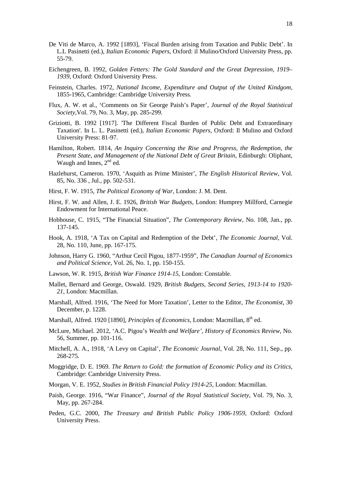- De Viti de Marco, A. 1992 [1893], 'Fiscal Burden arising from Taxation and Public Debt'. In L.L Pasinetti (ed.), *Italian Economic Papers*, Oxford: il Mulino/Oxford University Press, pp. 55-79.
- Eichengreen, B. 1992, *Golden Fetters: The Gold Standard and the Great Depression, 1919– 1939*, Oxford: Oxford University Press.
- Feinstein, Charles. 1972, *National Income, Expenditure and Output of the United Kindgom*, 1855-1965, Cambridge: Cambridge University Press.
- Flux, A. W. et al., 'Comments on Sir George Paish's Paper', *Journal of the Royal Statistical Society*,Vol. 79, No. 3, May, pp. 285-299.
- Griziotti, B. 1992 [1917]. 'The Different Fiscal Burden of Public Debt and Extraordinary Taxation'. In L. L. Pasinetti (ed.), *Italian Economic Papers*, Oxford: Il Mulino and Oxford University Press: 81-97.
- Hamilton, Robert. 1814, *An Inquiry Concerning the Rise and Progress, the Redemption, the Present State, and Management of the National Debt of Great Britain*, Edinburgh: Oliphant, Waugh and Innes,  $2<sup>nd</sup>$  ed.
- Hazlehurst, Cameron. 1970, 'Asquith as Prime Minister', *The English Historical Review*, Vol. 85, No. 336 , Jul., pp. 502-531.
- Hirst, F. W. 1915, *The Political Economy of War*, London: J. M. Dent.
- Hirst, F. W. and Allen, J. E. 1926, *British War Budgets*, London: Humprey Millford, Carnegie Endowment for International Peace.
- Hobhouse, C. 1915, "The Financial Situation", *The Contemporary Review*, No. 108, Jan., pp. 137-145.
- Hook, A. 1918, 'A Tax on Capital and Redemption of the Debt', *The Economic Journal*, Vol. 28, No. 110, June, pp. 167-175.
- Johnson, Harry G. 1960, "Arthur Cecil Pigou, 1877-1959", *The Canadian Journal of Economics and Political Science*, Vol. 26, No. 1, pp. 150-155.
- Lawson, W. R. 1915, *British War Finance 1914-15*, London: Constable.
- Mallet, Bernard and George, Oswald. 1929, *British Budgets, Second Series, 1913-14 to 1920- 21*, London: Macmillan.
- Marshall, Alfred. 1916, 'The Need for More Taxation', Letter to the Editor, *The Economist*, 30 December, p. 1228.
- Marshall, Alfred. 1920 [1890], *Principles of Economics*, London: Macmillan, 8<sup>th</sup> ed.
- McLure, Michael. 2012, 'A.C. Pigou's *Wealth and Welfare'*, *History of Economics Review*, No. 56, Summer, pp. 101-116.
- Mitchell, A. A., 1918, 'A Levy on Capital', *The Economic Journal*, Vol. 28, No. 111, Sep., pp. 268-275.
- Moggridge, D. E. 1969. *The Return to Gold: the formation of Economic Policy and its Critics*, Cambridge: Cambridge University Press.
- Morgan, V. E. 1952, *Studies in British Financial Policy 1914-25*, London: Macmillan.
- Paish, George. 1916, "War Finance", *Journal of the Royal Statistical Society*, Vol. 79, No. 3, May, pp. 267-284.
- Peden, G.C. 2000, *The Treasury and British Public Policy 1906-1959*, Oxford: Oxford University Press.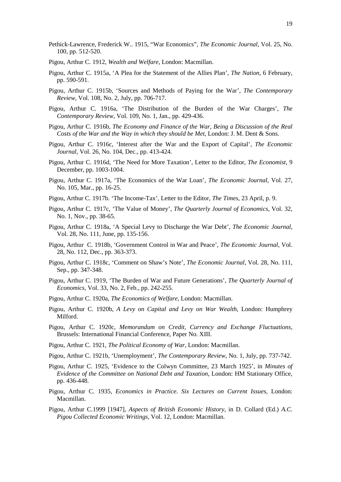- Pethick-Lawrence, Frederick W.. 1915, "War Economics", *The Economic Journal*, Vol. 25, No. 100, pp. 512-520.
- Pigou, Arthur C. 1912, *Wealth and Welfare*, London: Macmillan.
- Pigou, Arthur C. 1915a, 'A Plea for the Statement of the Allies Plan', *The Nation*, 6 February, pp. 590-591.
- Pigou, Arthur C. 1915b, 'Sources and Methods of Paying for the War', *The Contemporary Review*, Vol. 108, No. 2, July, pp. 706-717.
- Pigou, Arthur C. 1916a, 'The Distribution of the Burden of the War Charges', *The Contemporary Review*, Vol. 109, No. 1, Jan., pp. 429-436.
- Pigou, Arthur C. 1916b, *The Economy and Finance of the War, Being a Discussion of the Real Costs of the War and the Way in which they should be Met*, London: J. M. Dent & Sons.
- Pigou, Arthur C. 1916c, 'Interest after the War and the Export of Capital', *The Economic Journal*, Vol. 26, No. 104, Dec., pp. 413-424.
- Pigou, Arthur C. 1916d, 'The Need for More Taxation', Letter to the Editor, *The Economist*, 9 December, pp. 1003-1004.
- Pigou, Arthur C. 1917a, 'The Economics of the War Loan', *The Economic Journal*, Vol. 27, No. 105, Mar., pp. 16-25.
- Pigou, Arthur C. 1917b. 'The Income-Tax', Letter to the Editor, *The Times*, 23 April, p. 9.
- Pigou, Arthur C. 1917c, 'The Value of Money', *The Quarterly Journal of Economics*, Vol. 32, No. 1, Nov., pp. 38-65.
- Pigou, Arthur C. 1918a, 'A Special Levy to Discharge the War Debt', *The Economic Journal*, Vol. 28, No. 111, June, pp. 135-156.
- Pigou, Arthur C. 1918b, 'Government Control in War and Peace', *The Economic Journal*, Vol. 28, No. 112, Dec., pp. 363-373.
- Pigou, Arthur C. 1918c, 'Comment on Shaw's Note', *The Economic Journal*, Vol. 28, No. 111, Sep., pp. 347-348.
- Pigou, Arthur C. 1919, 'The Burden of War and Future Generations', *The Quarterly Journal of Economics,* Vol. 33, No. 2, Feb., pp. 242-255.
- Pigou, Arthur C. 1920a, *The Economics of Welfare*, London: Macmillan.
- Pigou, Arthur C. 1920b, *A Levy on Capital and Levy on War Wealth*, London: Humphrey Milford.
- Pigou, Arthur C. 1920c, *Memorandum on Credit, Currency and Exchange Fluctuations*, Brussels: International Financial Conference, Paper No. XIII.
- Pigou, Arthur C. 1921, *The Political Economy of War*, London: Macmillan.
- Pigou, Arthur C. 1921b, 'Unemployment', *The Contemporary Review*, No. 1, July, pp. 737-742.
- Pigou, Arthur C. 1925, 'Evidence to the Colwyn Committee, 23 March 1925', in *Minutes of Evidence of the Committee on National Debt and Taxation*, London: HM Stationary Office, pp. 436-448.
- Pigou, Arthur C. 1935, *Economics in Practice. Six Lectures on Current Issues*, London: Macmillan.
- Pigou, Arthur C.1999 [1947], *Aspects of British Economic History*, in D. Collard (Ed.) *A.C. Pigou Collected Economic Writings*, Vol. 12, London: Macmillan.